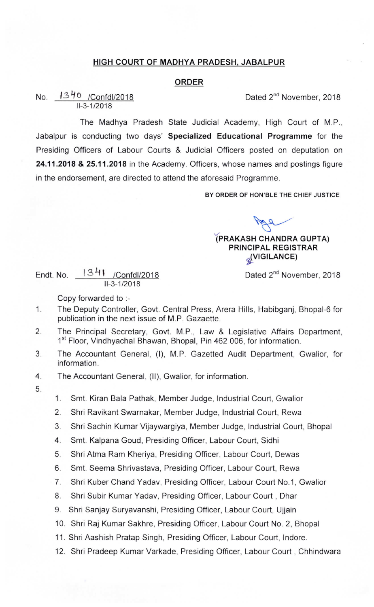## HIGH COURT OF MADHYA PRADESH. JABALPUR

## ORDER

No.  $1340$  /Confdl/2018 **Dated 2<sup>nd</sup> November, 2018** 11-3-1/2018

The Madhya Pradesh State Judicial Academy, High Court of M.P., Jabalpur is conducting two days' Specialized Educational Programme for the Presiding Officers of Labour Courts & Judicial Officers posted on deputation on 24.11.2018 & 25.11.2018 in the Academy. Officers, whose names and postings figure in the endorsement, are directed to attend the aforesaid Programme.

BY ORDER OF HON'BLE THE CHIEF JUSTICE

Ama

## (PRAKASH CHANDRA GUPTA) PRINCIPAL REGISTRAR g(VIGILANCE)

Dated 2<sup>nd</sup> November, 2018

Endt.No. 13+I /Confdl/2018 11 -3-1 /2 018

Copy forvarded to :-

- 1. The Deputy Controller, Govt. Central Press, Arera Hills, Habibganj, Bhopal-6 for publication in the next issue of M.P. Gazaette.
- The Principal Secretary, Govt. M.P., Law & Legislative Affairs Department, 2. 1<sup>st</sup> Floor, Vindhyachal Bhawan, Bhopal, Pin 462 006, for information.
- 3. The Accountant General, (I), M.P. Gazetted Audit Department, Gwalior, for information.
- 4. The Accountant General, (11), Gwalior, for information.
- 5.
- 1. Smt. Kiran Bala pathak, Member Judge, Industrial court, Gwalior
- 2. Shri Ravikant Swarnakar, Member Judge, Industrial Court, Rewa
- 3. Shri Sachin Kumar Vijaywargiya, Member Judge, Industrial Court, Bhopal
- 4. Smt. Kalpana Goud, Presiding officer, Labour court, Sidhi
- 5. Shri Atma Ram Kheriya, Presiding officer, Labour court, Dewas
- 6. Smt. Seema shrivastava, Presiding officer, Labour court, Rewa
- 7. Shri Kuber chand Yadav, Presiding officer, Labour court No.1, Gwalior
- 8. Shri Subir Kumar Yadav, Presiding Officer, Labour Court, Dhar
- 9. Shri Sanjay Suryavanshi, Presiding Officer, Labour Court, Ujjain
- 10. Shri Raj Kumar Sakhre, Presiding Officer, Labour Court No. 2, Bhopal
- 11. Shri Aashish Pratap Singh, Presiding Officer, Labour Court, lndore.
- 12. Shri Pradeep Kumar Varkade, Presiding Officer, Labour Court , Chhindwara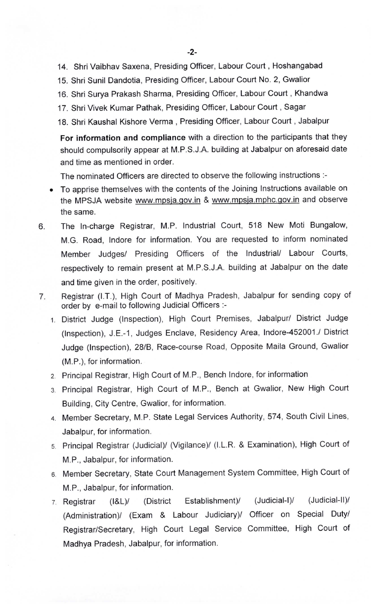- 14. Shri Vaibhav Saxena, Presiding Officer, Labour Court , Hoshangabad
- 15. Shri Sunil Dandotia, Presiding Officer, Labour Court No. 2, Gwalior
- 16. Shri Surya Prakash Sharma, Presiding Officer, Labour Court , Khandwa
- 17. Shri Vivek Kumar Pathak, Presiding Officer, Labour Court, Sagar
- 18. Shri Kaushal Kishore Verma , Presiding Officer, Labour Court , Jabalpur

For information and compliance with a direction to the participants that they should compulsorily appear at M.P.S.J.A. building at Jabalpur on aforesaid date and time as mentioned in order.

The nominated Officers are directed to observe the following instructions :-

- To apprise themselves with the contents of the Joining Instructions available on the MPSJA website www.mpsja.gov.in & www.mpsja.mphc.gov.in and observe the same.
- The ln-charge Registrar, M.P. Industrial Court, 518 New Moti Bungalow, 6. M.G. Road, lndore for information. You are requested to inform nominated Member Judges/ Presiding Officers of the Industrial/ Labour Courts, respectively to remain present at M.P.S.J.A. building at Jabalpur on the date and time given in the order, positively.
- Registrar (I.T.), High Court of Madhya Pradesh, Jabalpur for sending copy of 7. order by e-mail to following Judicial Officers :-
	- 1. District Judge (Inspection), High Court Premises, Jabalpur/ District Judge (Inspection), J.E.-1, Judges Enclave, Residency Area, Indore-452001./ District Judge (Inspection), 28/8, Race-course Road, Opposite Maila Ground, Gwalior (M.P.), for information.
	- 2 Principal Registrar, High Court of M.P., Bench lndore, for information
	- 3. Principal Registrar, High Court of M.P., Bench at Gwalior, New High Court Building, City Centre, Gwalior, for information.
	- 4. Member Secretary, M.P. State Legal Services Authority, 574, South Civil Lines, Jabalpur, for information.
	- 5. Principal Registrar (Judicial)/ (Vigilance)/ (I.L.R. & Examination), High Court of M.P., Jabalpur, for information.
	- 6. Member Secretary, State Court Management System Committee, High Court of M.P,, Jabalpur, for information.
	- 7. Registrar (I&L)/ (District Establishment)/ (Judicial-I)/ (Judicial-II)/ (Administration)/ (Exam & Labour Judiciary)/ Officer on Special Duty/ Registrar/Secretary, High Court Legal Service Committee, High Court of Madhya Pradesh, Jabalpur, for information.